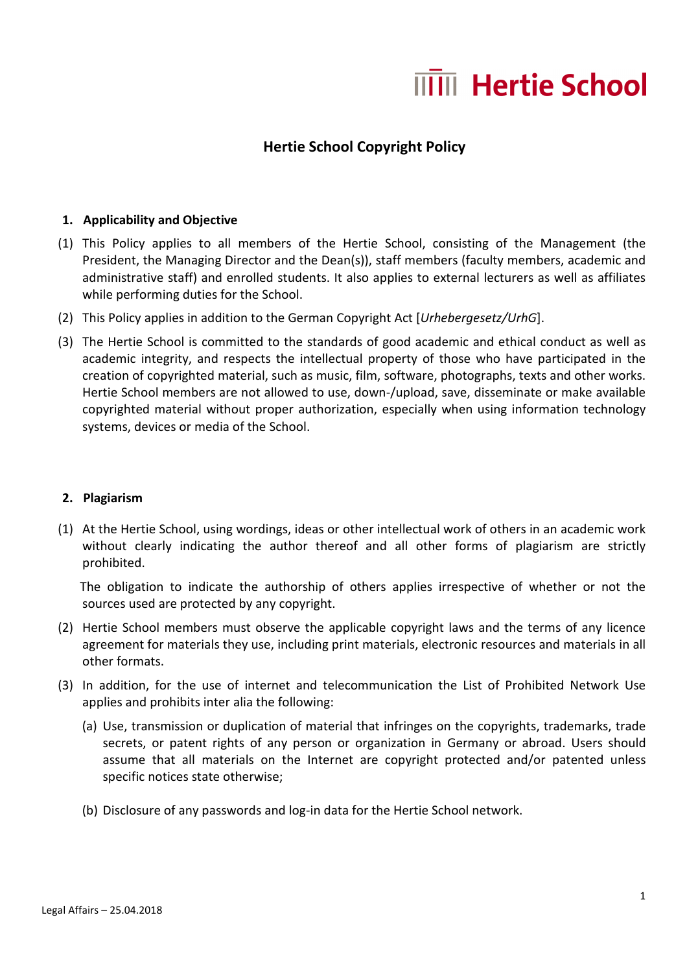# **IIII** Hertie School

# **Hertie School Copyright Policy**

### **1. Applicability and Objective**

- (1) This Policy applies to all members of the Hertie School, consisting of the Management (the President, the Managing Director and the Dean(s)), staff members (faculty members, academic and administrative staff) and enrolled students. It also applies to external lecturers as well as affiliates while performing duties for the School.
- (2) This Policy applies in addition to the German Copyright Act [*Urhebergesetz/UrhG*].
- (3) The Hertie School is committed to the standards of good academic and ethical conduct as well as academic integrity, and respects the intellectual property of those who have participated in the creation of copyrighted material, such as music, film, software, photographs, texts and other works. Hertie School members are not allowed to use, down-/upload, save, disseminate or make available copyrighted material without proper authorization, especially when using information technology systems, devices or media of the School.

# **2. Plagiarism**

(1) At the Hertie School, using wordings, ideas or other intellectual work of others in an academic work without clearly indicating the author thereof and all other forms of plagiarism are strictly prohibited.

 The obligation to indicate the authorship of others applies irrespective of whether or not the sources used are protected by any copyright.

- (2) Hertie School members must observe the applicable copyright laws and the terms of any licence agreement for materials they use, including print materials, electronic resources and materials in all other formats.
- (3) In addition, for the use of internet and telecommunication the List of Prohibited Network Use applies and prohibits inter alia the following:
	- (a) Use, transmission or duplication of material that infringes on the copyrights, trademarks, trade secrets, or patent rights of any person or organization in Germany or abroad. Users should assume that all materials on the Internet are copyright protected and/or patented unless specific notices state otherwise;
	- (b) Disclosure of any passwords and log-in data for the Hertie School network.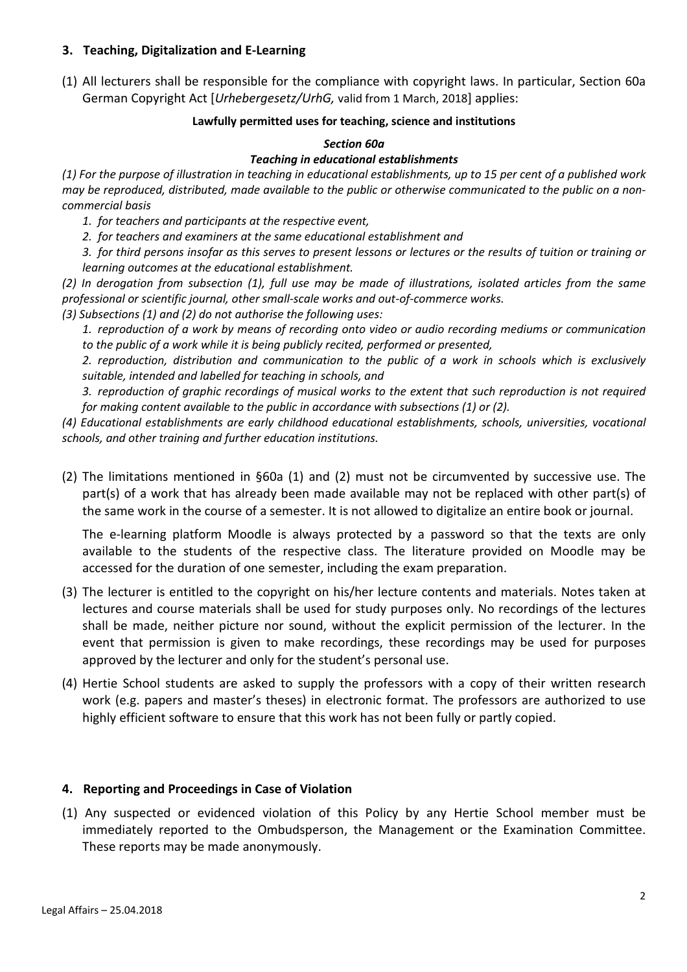# **3. Teaching, Digitalization and E-Learning**

(1) All lecturers shall be responsible for the compliance with copyright laws. In particular, Section 60a German Copyright Act [*Urhebergesetz/UrhG,* valid from 1 March, 2018] applies:

#### **Lawfully permitted uses for teaching, science and institutions**

# *Section 60a*

#### *Teaching in educational establishments*

*(1) For the purpose of illustration in teaching in educational establishments, up to 15 per cent of a published work may be reproduced, distributed, made available to the public or otherwise communicated to the public on a noncommercial basis* 

*1. for teachers and participants at the respective event,* 

*2. for teachers and examiners at the same educational establishment and* 

*3. for third persons insofar as this serves to present lessons or lectures or the results of tuition or training or learning outcomes at the educational establishment.*

*(2) In derogation from subsection (1), full use may be made of illustrations, isolated articles from the same professional or scientific journal, other small-scale works and out-of-commerce works.* 

*(3) Subsections (1) and (2) do not authorise the following uses:* 

*1. reproduction of a work by means of recording onto video or audio recording mediums or communication to the public of a work while it is being publicly recited, performed or presented,* 

*2. reproduction, distribution and communication to the public of a work in schools which is exclusively suitable, intended and labelled for teaching in schools, and* 

*3. reproduction of graphic recordings of musical works to the extent that such reproduction is not required for making content available to the public in accordance with subsections (1) or (2).* 

*(4) Educational establishments are early childhood educational establishments, schools, universities, vocational schools, and other training and further education institutions.* 

(2) The limitations mentioned in §60a (1) and (2) must not be circumvented by successive use. The part(s) of a work that has already been made available may not be replaced with other part(s) of the same work in the course of a semester. It is not allowed to digitalize an entire book or journal.

The e-learning platform Moodle is always protected by a password so that the texts are only available to the students of the respective class. The literature provided on Moodle may be accessed for the duration of one semester, including the exam preparation.

- (3) The lecturer is entitled to the copyright on his/her lecture contents and materials. Notes taken at lectures and course materials shall be used for study purposes only. No recordings of the lectures shall be made, neither picture nor sound, without the explicit permission of the lecturer. In the event that permission is given to make recordings, these recordings may be used for purposes approved by the lecturer and only for the student's personal use.
- (4) Hertie School students are asked to supply the professors with a copy of their written research work (e.g. papers and master's theses) in electronic format. The professors are authorized to use highly efficient software to ensure that this work has not been fully or partly copied.

# **4. Reporting and Proceedings in Case of Violation**

(1) Any suspected or evidenced violation of this Policy by any Hertie School member must be immediately reported to the Ombudsperson, the Management or the Examination Committee. These reports may be made anonymously.